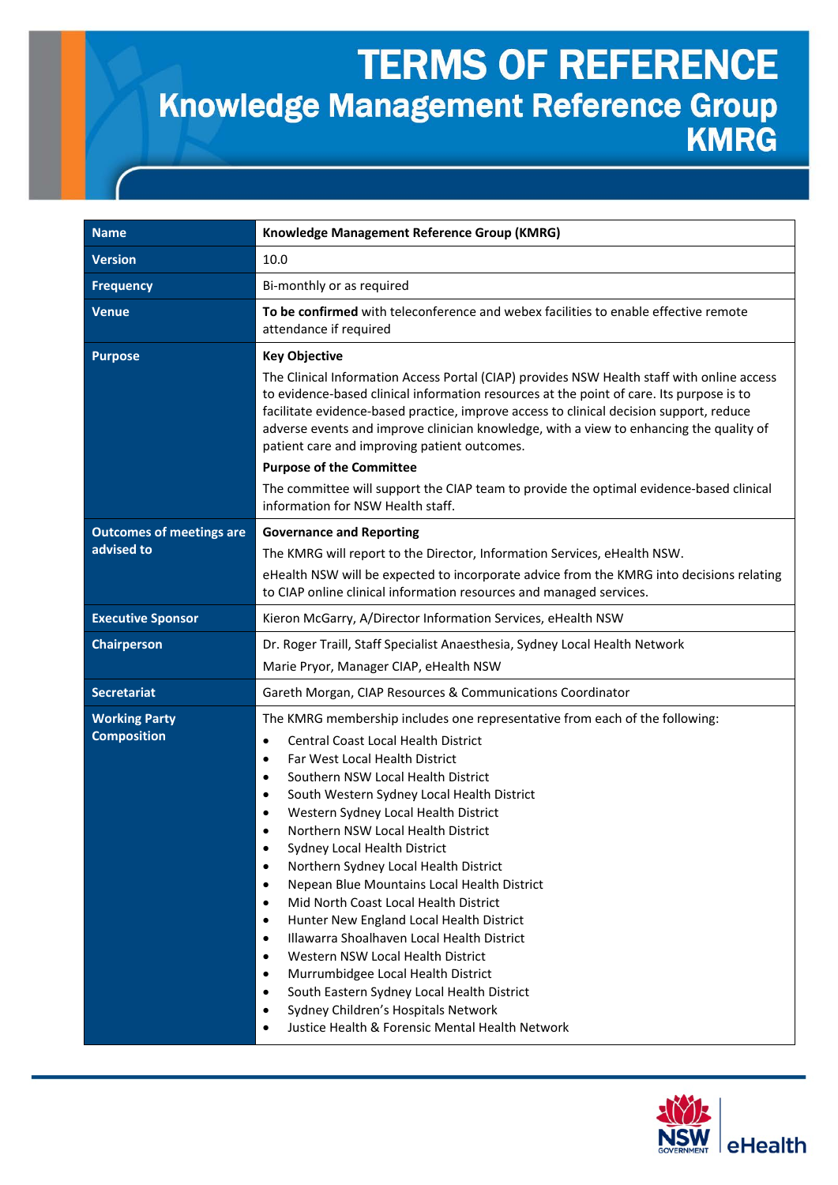## **TERMS OF REFERENCE** Knowledge Management Reference Group

| <b>Name</b>                                   | Knowledge Management Reference Group (KMRG)                                                                                                                                                                                                                                                                                                                                                                                                                                                                                                                                                                                                                                                                                                                                                                                                                                                                                                                                                                               |
|-----------------------------------------------|---------------------------------------------------------------------------------------------------------------------------------------------------------------------------------------------------------------------------------------------------------------------------------------------------------------------------------------------------------------------------------------------------------------------------------------------------------------------------------------------------------------------------------------------------------------------------------------------------------------------------------------------------------------------------------------------------------------------------------------------------------------------------------------------------------------------------------------------------------------------------------------------------------------------------------------------------------------------------------------------------------------------------|
| <b>Version</b>                                | 10.0                                                                                                                                                                                                                                                                                                                                                                                                                                                                                                                                                                                                                                                                                                                                                                                                                                                                                                                                                                                                                      |
| <b>Frequency</b>                              | Bi-monthly or as required                                                                                                                                                                                                                                                                                                                                                                                                                                                                                                                                                                                                                                                                                                                                                                                                                                                                                                                                                                                                 |
| <b>Venue</b>                                  | To be confirmed with teleconference and webex facilities to enable effective remote<br>attendance if required                                                                                                                                                                                                                                                                                                                                                                                                                                                                                                                                                                                                                                                                                                                                                                                                                                                                                                             |
| <b>Purpose</b>                                | <b>Key Objective</b><br>The Clinical Information Access Portal (CIAP) provides NSW Health staff with online access<br>to evidence-based clinical information resources at the point of care. Its purpose is to<br>facilitate evidence-based practice, improve access to clinical decision support, reduce<br>adverse events and improve clinician knowledge, with a view to enhancing the quality of<br>patient care and improving patient outcomes.<br><b>Purpose of the Committee</b><br>The committee will support the CIAP team to provide the optimal evidence-based clinical<br>information for NSW Health staff.                                                                                                                                                                                                                                                                                                                                                                                                   |
| <b>Outcomes of meetings are</b><br>advised to | <b>Governance and Reporting</b><br>The KMRG will report to the Director, Information Services, eHealth NSW.<br>eHealth NSW will be expected to incorporate advice from the KMRG into decisions relating<br>to CIAP online clinical information resources and managed services.                                                                                                                                                                                                                                                                                                                                                                                                                                                                                                                                                                                                                                                                                                                                            |
| <b>Executive Sponsor</b>                      | Kieron McGarry, A/Director Information Services, eHealth NSW                                                                                                                                                                                                                                                                                                                                                                                                                                                                                                                                                                                                                                                                                                                                                                                                                                                                                                                                                              |
| <b>Chairperson</b>                            | Dr. Roger Traill, Staff Specialist Anaesthesia, Sydney Local Health Network<br>Marie Pryor, Manager CIAP, eHealth NSW                                                                                                                                                                                                                                                                                                                                                                                                                                                                                                                                                                                                                                                                                                                                                                                                                                                                                                     |
| <b>Secretariat</b>                            | Gareth Morgan, CIAP Resources & Communications Coordinator                                                                                                                                                                                                                                                                                                                                                                                                                                                                                                                                                                                                                                                                                                                                                                                                                                                                                                                                                                |
| <b>Working Party</b><br><b>Composition</b>    | The KMRG membership includes one representative from each of the following:<br>Central Coast Local Health District<br>$\bullet$<br>Far West Local Health District<br>$\bullet$<br>Southern NSW Local Health District<br>$\bullet$<br>South Western Sydney Local Health District<br>٠<br>Western Sydney Local Health District<br>$\bullet$<br>Northern NSW Local Health District<br>$\bullet$<br>Sydney Local Health District<br>$\bullet$<br>Northern Sydney Local Health District<br>$\bullet$<br>Nepean Blue Mountains Local Health District<br>$\bullet$<br>Mid North Coast Local Health District<br>$\bullet$<br>Hunter New England Local Health District<br>$\bullet$<br>Illawarra Shoalhaven Local Health District<br>$\bullet$<br>Western NSW Local Health District<br>$\bullet$<br>Murrumbidgee Local Health District<br>$\bullet$<br>South Eastern Sydney Local Health District<br>$\bullet$<br>Sydney Children's Hospitals Network<br>$\bullet$<br>Justice Health & Forensic Mental Health Network<br>$\bullet$ |